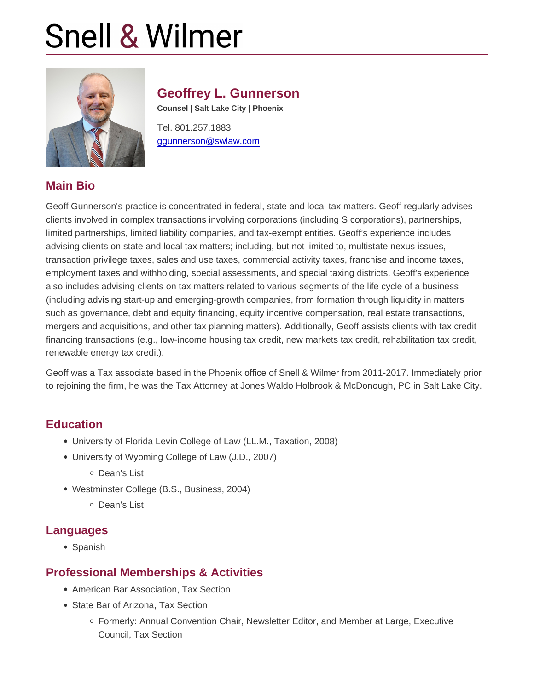# Geoffrey L. Gunnerson

Counsel | Salt Lake City | Phoenix

Tel. 801.257.1883 [ggunnerson@swlaw.com](mailto:ggunnerson@swlaw.com)

# Main Bio

Geoff Gunnerson's practice is concentrated in federal, state and local tax matters. Geoff regularly advises clients involved in complex transactions involving corporations (including S corporations), partnerships, limited partnerships, limited liability companies, and tax-exempt entities. Geoff's experience includes advising clients on state and local tax matters; including, but not limited to, multistate nexus issues, transaction privilege taxes, sales and use taxes, commercial activity taxes, franchise and income taxes, employment taxes and withholding, special assessments, and special taxing districts. Geoff's experience also includes advising clients on tax matters related to various segments of the life cycle of a business (including advising start-up and emerging-growth companies, from formation through liquidity in matters such as governance, debt and equity financing, equity incentive compensation, real estate transactions, mergers and acquisitions, and other tax planning matters). Additionally, Geoff assists clients with tax credit financing transactions (e.g., low-income housing tax credit, new markets tax credit, rehabilitation tax credit, renewable energy tax credit).

Geoff was a Tax associate based in the Phoenix office of Snell & Wilmer from 2011-2017. Immediately prior to rejoining the firm, he was the Tax Attorney at Jones Waldo Holbrook & McDonough, PC in Salt Lake City.

### **Education**

- University of Florida Levin College of Law (LL.M., Taxation, 2008)
- University of Wyoming College of Law (J.D., 2007)
	- Dean's List
- Westminster College (B.S., Business, 2004)
	- Dean's List

# Languages

• Spanish

### Professional Memberships & Activities

- American Bar Association, Tax Section
- State Bar of Arizona, Tax Section
	- Formerly: Annual Convention Chair, Newsletter Editor, and Member at Large, Executive Council, Tax Section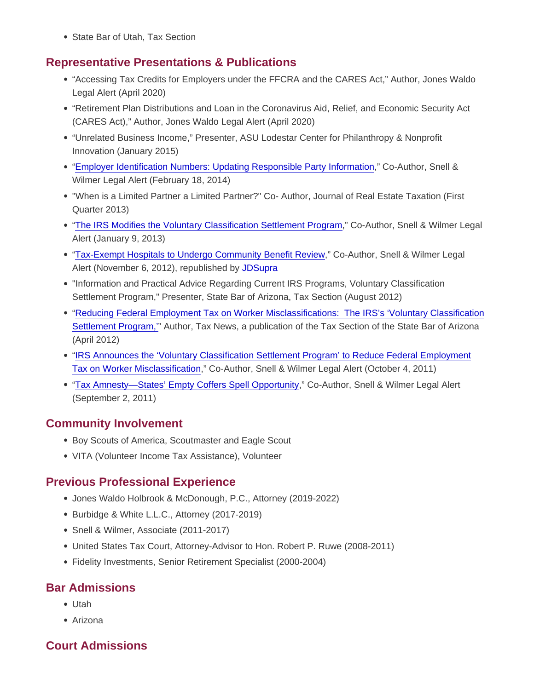• State Bar of Utah, Tax Section

### Representative Presentations & Publications

- "Accessing Tax Credits for Employers under the FFCRA and the CARES Act," Author, Jones Waldo Legal Alert (April 2020)
- "Retirement Plan Distributions and Loan in the Coronavirus Aid, Relief, and Economic Security Act (CARES Act)," Author, Jones Waldo Legal Alert (April 2020)
- "Unrelated Business Income," Presenter, ASU Lodestar Center for Philanthropy & Nonprofit Innovation (January 2015)
- ["Employer Identification Numbers: Updating Responsible Party Information](http://info.swlaw.com/reaction/2014/2014_Alerts_HTML/2014_02_18_ALERT_EmployerIdentificationNumbers/ALERT_EmployerIdentificationNumbers_WEB.html)," Co-Author, Snell & Wilmer Legal Alert (February 18, 2014)
- "When is a Limited Partner a Limited Partner?" Co- Author, Journal of Real Estate Taxation (First Quarter 2013)
- ["The IRS Modifies the Voluntary Classification Settlement Program,](http://info.swlaw.com/reaction/2013/Alerts_2013_HTML/ALERT_TheIRSModifiestheVoluntaryClassificationSettlementProgram_Jan2013/ALERT_TheIRSModifiestheVoluntaryClassificationSettlementProgram_Jan2013_WEB.html)" Co-Author, Snell & Wilmer Legal Alert (January 9, 2013)
- ["Tax-Exempt Hospitals to Undergo Community Benefit Review,](http://info.swlaw.com/reaction/2012/Alerts_2012_HTML/ALERT_Tax-Exempt Hospitals_Nov2012/ALERT_Tax-Exempt Hospitals_Nov2012_WEB.html)" Co-Author, Snell & Wilmer Legal Alert (November 6, 2012), republished by [JDSupra](http://www.jdsupra.com/legalnews/tax-exempt-hospitals-to-undergo-communit-22704/)
- "Information and Practical Advice Regarding Current IRS Programs, Voluntary Classification Settlement Program," Presenter, State Bar of Arizona, Tax Section (August 2012)
- ["Reducing Federal Employment Tax on Worker Misclassifications: The IRS's 'Voluntary Classification](http://www.azbar.org/media/513063/taxlawnews_spring_2012.pdf) [Settlement Program,'](http://www.azbar.org/media/513063/taxlawnews_spring_2012.pdf)" Author, Tax News, a publication of the Tax Section of the State Bar of Arizona (April 2012)
- ["IRS Announces the 'Voluntary Classification Settlement Program' to Reduce Federal Employment](http://info.swlaw.com/reaction/2011/ALERT_WorkerClassification_Oct2011_HTML/ALERT_WorkerClassification_Oct2011_WEB.HTM) [Tax on Worker Misclassification](http://info.swlaw.com/reaction/2011/ALERT_WorkerClassification_Oct2011_HTML/ALERT_WorkerClassification_Oct2011_WEB.HTM)," Co-Author, Snell & Wilmer Legal Alert (October 4, 2011)
- ["Tax Amnesty—States' Empty Coffers Spell Opportunity](http://info.swlaw.com/reaction/2011/ALERT_TaxAmnestyStatesEmptyCoffer_September2011_HTML/ALERT_TaxAmnestyStatesEmptyCoffer_September2011_WEB.HTM)," Co-Author, Snell & Wilmer Legal Alert (September 2, 2011)

# Community Involvement

- Boy Scouts of America, Scoutmaster and Eagle Scout
- VITA (Volunteer Income Tax Assistance), Volunteer

### Previous Professional Experience

- Jones Waldo Holbrook & McDonough, P.C., Attorney (2019-2022)
- Burbidge & White L.L.C., Attorney (2017-2019)
- Snell & Wilmer, Associate (2011-2017)
- United States Tax Court, Attorney-Advisor to Hon. Robert P. Ruwe (2008-2011)
- Fidelity Investments, Senior Retirement Specialist (2000-2004)

### Bar Admissions

- Utah
- Arizona

# Court Admissions